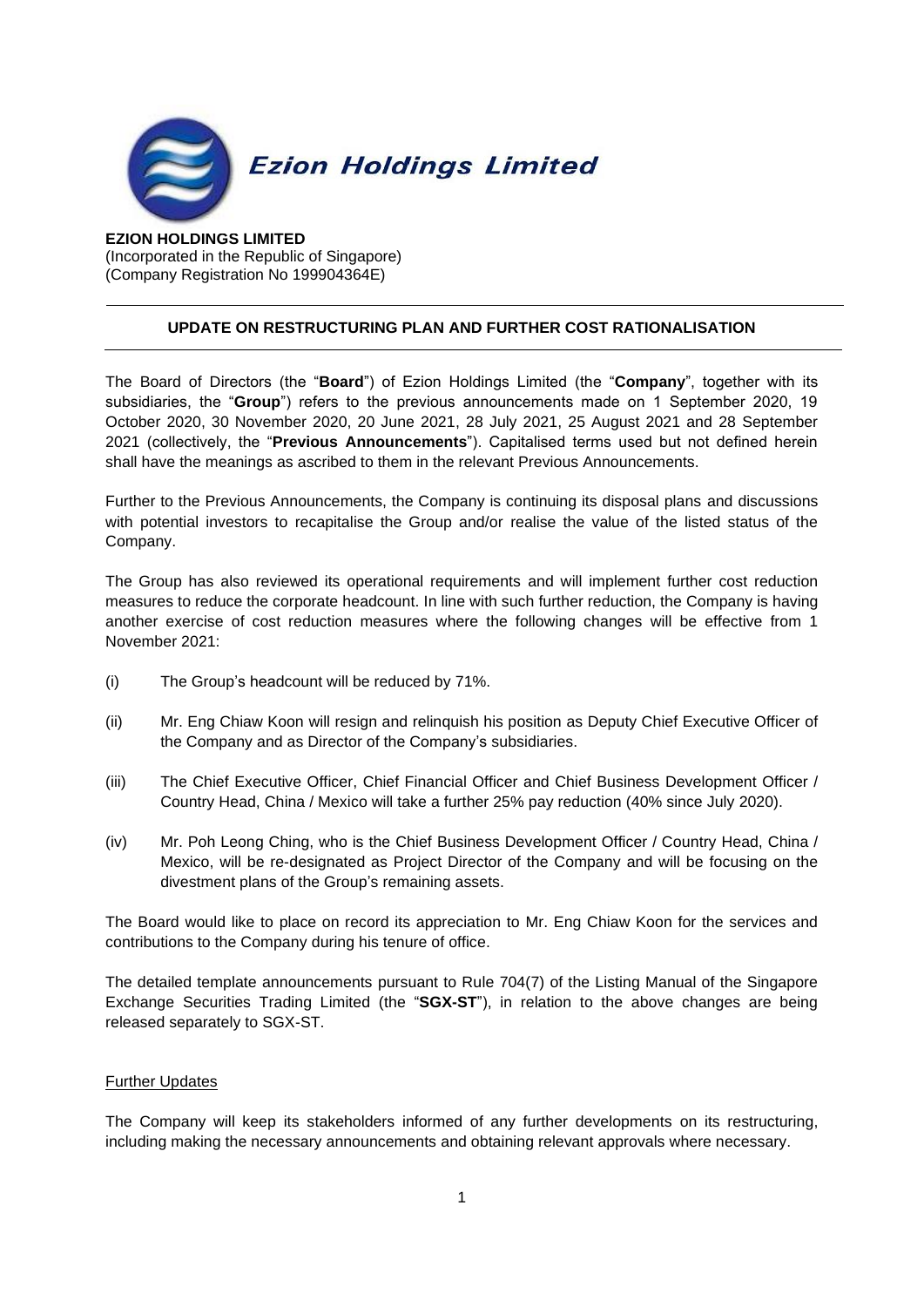

**EZION HOLDINGS LIMITED** (Incorporated in the Republic of Singapore) (Company Registration No 199904364E)

## **UPDATE ON RESTRUCTURING PLAN AND FURTHER COST RATIONALISATION**

The Board of Directors (the "**Board**") of Ezion Holdings Limited (the "**Company**", together with its subsidiaries, the "**Group**") refers to the previous announcements made on 1 September 2020, 19 October 2020, 30 November 2020, 20 June 2021, 28 July 2021, 25 August 2021 and 28 September 2021 (collectively, the "**Previous Announcements**"). Capitalised terms used but not defined herein shall have the meanings as ascribed to them in the relevant Previous Announcements.

Further to the Previous Announcements, the Company is continuing its disposal plans and discussions with potential investors to recapitalise the Group and/or realise the value of the listed status of the Company.

The Group has also reviewed its operational requirements and will implement further cost reduction measures to reduce the corporate headcount. In line with such further reduction, the Company is having another exercise of cost reduction measures where the following changes will be effective from 1 November 2021:

- (i) The Group's headcount will be reduced by 71%.
- (ii) Mr. Eng Chiaw Koon will resign and relinquish his position as Deputy Chief Executive Officer of the Company and as Director of the Company's subsidiaries.
- (iii) The Chief Executive Officer, Chief Financial Officer and Chief Business Development Officer / Country Head, China / Mexico will take a further 25% pay reduction (40% since July 2020).
- (iv) Mr. Poh Leong Ching, who is the Chief Business Development Officer / Country Head, China / Mexico, will be re-designated as Project Director of the Company and will be focusing on the divestment plans of the Group's remaining assets.

The Board would like to place on record its appreciation to Mr. Eng Chiaw Koon for the services and contributions to the Company during his tenure of office.

The detailed template announcements pursuant to Rule 704(7) of the Listing Manual of the Singapore Exchange Securities Trading Limited (the "**SGX-ST**"), in relation to the above changes are being released separately to SGX-ST.

## Further Updates

The Company will keep its stakeholders informed of any further developments on its restructuring, including making the necessary announcements and obtaining relevant approvals where necessary.